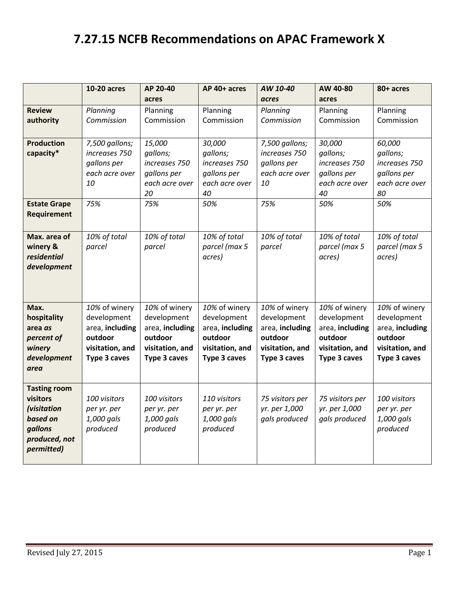## **7.27.15 NCFB Recommendations on APAC Framework X**

|                             | <b>10-20 acres</b>   | AP 20-40                      | AP 40+ acres                  | AW 10-40        | AW 40-80                      | 80+ acres                     |
|-----------------------------|----------------------|-------------------------------|-------------------------------|-----------------|-------------------------------|-------------------------------|
|                             |                      | acres                         |                               | acres           | acres                         |                               |
| <b>Review</b>               | Planning             | Planning                      | Planning                      | Planning        | Planning                      | Planning                      |
| authority                   | Commission           | Commission                    | Commission                    | Commission      | Commission                    | Commission                    |
| <b>Production</b>           | 7,500 gallons;       | 15,000                        | 30,000                        | 7,500 gallons;  | 30,000                        | 60,000                        |
| capacity*                   | increases 750        | gallons;                      | gallons;                      | increases 750   | gallons;                      | gallons;                      |
|                             | gallons per          | increases 750                 | increases 750                 | gallons per     | increases 750                 | increases 750                 |
|                             | each acre over<br>10 | gallons per<br>each acre over | gallons per<br>each acre over | each acre over  | gallons per<br>each acre over | gallons per<br>each acre over |
|                             |                      | 20                            | 40                            | 10              | 40                            | 80                            |
| <b>Estate Grape</b>         | 75%                  | 75%                           | 50%                           | 75%             | 50%                           | 50%                           |
| Requirement                 |                      |                               |                               |                 |                               |                               |
|                             |                      |                               |                               |                 |                               |                               |
| Max. area of                | 10% of total         | 10% of total                  | 10% of total                  | 10% of total    | 10% of total                  | 10% of total                  |
| winery &                    | parcel               | parcel                        | parcel (max 5                 | parcel          | parcel (max 5                 | parcel (max 5                 |
| residential                 |                      |                               | acres)                        |                 | acres)                        | acres)                        |
| development                 |                      |                               |                               |                 |                               |                               |
|                             |                      |                               |                               |                 |                               |                               |
|                             |                      |                               |                               |                 |                               |                               |
| Max.                        | 10% of winery        | 10% of winery                 | 10% of winery                 | 10% of winery   | 10% of winery                 | 10% of winery                 |
| hospitality                 | development          | development                   | development                   | development     | development                   | development                   |
| area as                     | area, including      | area, including               | area, including               | area, including | area, including               | area, including               |
| percent of                  | outdoor              | outdoor                       | outdoor                       | outdoor         | outdoor                       | outdoor                       |
| winery                      | visitation, and      | visitation, and               | visitation, and               | visitation, and | visitation, and               | visitation, and               |
| development                 | Type 3 caves         | Type 3 caves                  | Type 3 caves                  | Type 3 caves    | Type 3 caves                  | Type 3 caves                  |
| area                        |                      |                               |                               |                 |                               |                               |
| <b>Tasting room</b>         |                      |                               |                               |                 |                               |                               |
| visitors                    | 100 visitors         | 100 visitors                  | 110 visitors                  | 75 visitors per | 75 visitors per               | 100 visitors                  |
| (visitation                 | per yr. per          | per yr. per                   | per yr. per                   | yr. per 1,000   | yr. per 1,000                 | per yr. per                   |
| based on                    | 1,000 gals           | 1,000 gals                    | 1,000 gals                    | gals produced   | gals produced                 | 1,000 gals                    |
| gallons                     | produced             | produced                      | produced                      |                 |                               | produced                      |
| produced, not<br>permitted) |                      |                               |                               |                 |                               |                               |
|                             |                      |                               |                               |                 |                               |                               |
|                             |                      |                               |                               |                 |                               |                               |